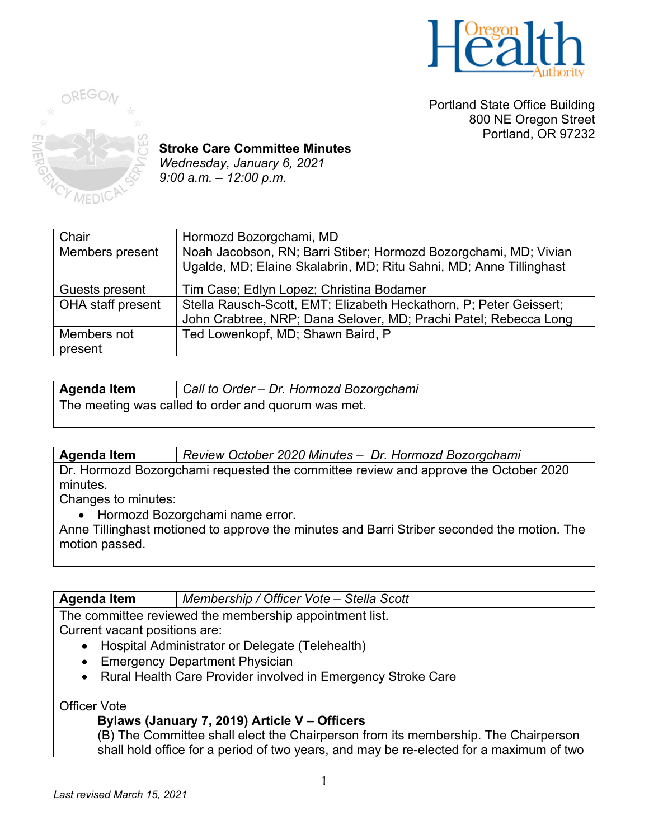

Portland State Office Building 800 NE Oregon Street Portland, OR 97232



**Stroke Care Committee Minutes** *Wednesday, January 6, 2021 9:00 a.m. – 12:00 p.m.* 

| Chair             | Hormozd Bozorgchami, MD                                                                                                                |
|-------------------|----------------------------------------------------------------------------------------------------------------------------------------|
| Members present   | Noah Jacobson, RN; Barri Stiber; Hormozd Bozorgchami, MD; Vivian<br>Ugalde, MD; Elaine Skalabrin, MD; Ritu Sahni, MD; Anne Tillinghast |
| Guests present    | Tim Case; Edlyn Lopez; Christina Bodamer                                                                                               |
| OHA staff present | Stella Rausch-Scott, EMT; Elizabeth Heckathorn, P; Peter Geissert;                                                                     |
|                   | John Crabtree, NRP; Dana Selover, MD; Prachi Patel; Rebecca Long                                                                       |
| Members not       | Ted Lowenkopf, MD; Shawn Baird, P                                                                                                      |
| present           |                                                                                                                                        |

| <b>Agenda Item</b>                                  | Call to Order - Dr. Hormozd Bozorgchami |
|-----------------------------------------------------|-----------------------------------------|
| The meeting was called to order and quorum was met. |                                         |

**Agenda Item** *Review October 2020 Minutes – Dr. Hormozd Bozorgchami* Dr. Hormozd Bozorgchami requested the committee review and approve the October 2020 minutes.

Changes to minutes:

• Hormozd Bozorgchami name error.

Anne Tillinghast motioned to approve the minutes and Barri Striber seconded the motion. The motion passed.

**Agenda Item** *Membership / Officer Vote – Stella Scott*

The committee reviewed the membership appointment list. Current vacant positions are:

- Hospital Administrator or Delegate (Telehealth)
- Emergency Department Physician
- Rural Health Care Provider involved in Emergency Stroke Care

Officer Vote

# **Bylaws (January 7, 2019) Article V – Officers**

(B) The Committee shall elect the Chairperson from its membership. The Chairperson shall hold office for a period of two years, and may be re-elected for a maximum of two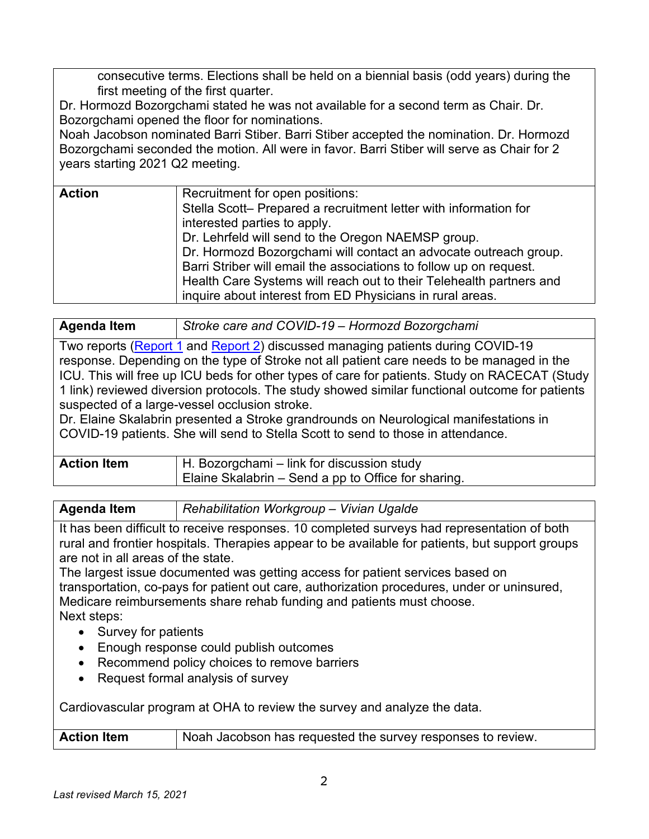consecutive terms. Elections shall be held on a biennial basis (odd years) during the first meeting of the first quarter.

Dr. Hormozd Bozorgchami stated he was not available for a second term as Chair. Dr. Bozorgchami opened the floor for nominations.

Noah Jacobson nominated Barri Stiber. Barri Stiber accepted the nomination. Dr. Hormozd Bozorgchami seconded the motion. All were in favor. Barri Stiber will serve as Chair for 2 years starting 2021 Q2 meeting.

| <b>Action</b> | Recruitment for open positions:                                     |
|---------------|---------------------------------------------------------------------|
|               | Stella Scott- Prepared a recruitment letter with information for    |
|               | interested parties to apply.                                        |
|               | Dr. Lehrfeld will send to the Oregon NAEMSP group.                  |
|               | Dr. Hormozd Bozorgchami will contact an advocate outreach group.    |
|               | Barri Striber will email the associations to follow up on request.  |
|               | Health Care Systems will reach out to their Telehealth partners and |
|               | inquire about interest from ED Physicians in rural areas.           |
|               |                                                                     |

**Agenda Item** *Stroke care and COVID-19 – Hormozd Bozorgchami*

Two reports [\(Report 1](https://www.medscape.com/viewarticle/940624) and [Report 2\)](https://clinicaltrials.gov/ct2/show/NCT02795962) discussed managing patients during COVID-19 response. Depending on the type of Stroke not all patient care needs to be managed in the ICU. This will free up ICU beds for other types of care for patients. Study on RACECAT (Study 1 link) reviewed diversion protocols. The study showed similar functional outcome for patients suspected of a large-vessel occlusion stroke.

Dr. Elaine Skalabrin presented a Stroke grandrounds on Neurological manifestations in COVID-19 patients. She will send to Stella Scott to send to those in attendance.

| <b>Action Item</b> | H. Bozorgchami – link for discussion study          |
|--------------------|-----------------------------------------------------|
|                    | Elaine Skalabrin – Send a pp to Office for sharing. |

| <b>Agenda Item</b> | Rehabilitation Workgroup - Vivian Ugalde |  |
|--------------------|------------------------------------------|--|
|                    |                                          |  |

It has been difficult to receive responses. 10 completed surveys had representation of both rural and frontier hospitals. Therapies appear to be available for patients, but support groups are not in all areas of the state.

The largest issue documented was getting access for patient services based on transportation, co-pays for patient out care, authorization procedures, under or uninsured, Medicare reimbursements share rehab funding and patients must choose. Next steps:

- Survey for patients
- Enough response could publish outcomes
- Recommend policy choices to remove barriers
- Request formal analysis of survey

Cardiovascular program at OHA to review the survey and analyze the data.

| <b>Action Item</b> | Noah Jacobson has requested the survey responses to review. |
|--------------------|-------------------------------------------------------------|
|--------------------|-------------------------------------------------------------|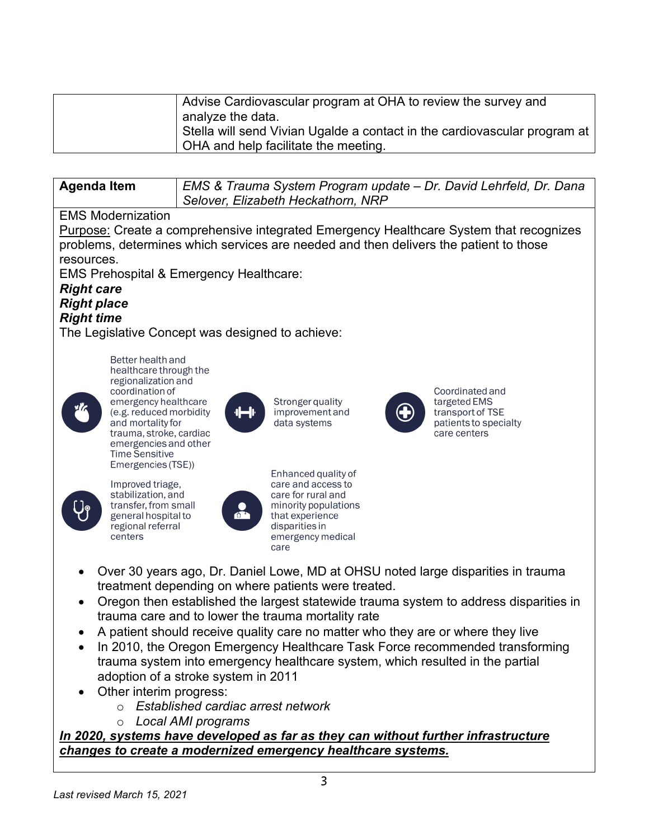| Advise Cardiovascular program at OHA to review the survey and             |  |
|---------------------------------------------------------------------------|--|
| analyze the data.                                                         |  |
| Stella will send Vivian Ugalde a contact in the cardiovascular program at |  |
| OHA and help facilitate the meeting.                                      |  |

| <b>Agenda Item</b> | EMS & Trauma System Program update - Dr. David Lehrfeld, Dr. Dana |
|--------------------|-------------------------------------------------------------------|
|                    | Selover, Elizabeth Heckathorn, NRP                                |

# EMS Modernization

Purpose: Create a comprehensive integrated Emergency Healthcare System that recognizes problems, determines which services are needed and then delivers the patient to those resources.

EMS Prehospital & Emergency Healthcare:

# *Right care Right place Right time*

The Legislative Concept was designed to achieve:



regionalization and coordination of emergency healthcare (e.g. reduced morbidity and mortality for trauma, stroke, cardiac emergencies and other **Time Sensitive** Emergencies (TSE))

Better health and healthcare through the



Improved triage. stabilization, and transfer, from small general hospital to regional referral centers



Stronger quality improvement and data systems

Enhanced quality of

minority populations

emergency medical

care and access to

care for rural and

that experience

disparities in

care



Coordinated and targeted EMS transport of TSE patients to specialty care centers

- Over 30 years ago, Dr. Daniel Lowe, MD at OHSU noted large disparities in trauma treatment depending on where patients were treated.
- Oregon then established the largest statewide trauma system to address disparities in trauma care and to lower the trauma mortality rate
- A patient should receive quality care no matter who they are or where they live
- In 2010, the Oregon Emergency Healthcare Task Force recommended transforming trauma system into emergency healthcare system, which resulted in the partial adoption of a stroke system in 2011
- Other interim progress:
	- o *Established cardiac arrest network*
	- o *Local AMI programs*

*In 2020, systems have developed as far as they can without further infrastructure changes to create a modernized emergency healthcare systems.*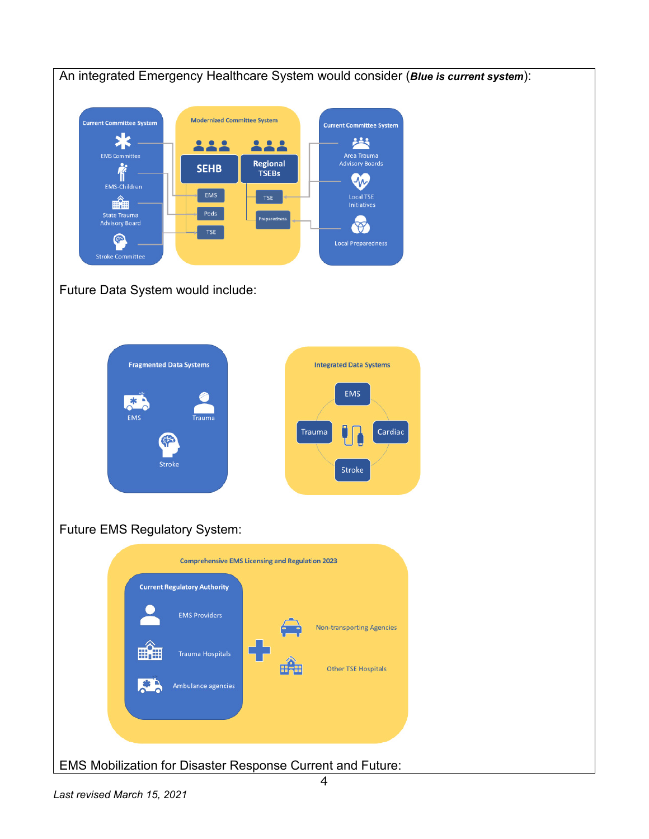

Future Data System would include:

| <b>Fragmented Data Systems</b>                                | <b>Integrated Data Systems</b>            |
|---------------------------------------------------------------|-------------------------------------------|
| All a<br>sk<br><b>EMS</b><br><b>Trauma</b><br>ट्रा≺<br>Stroke | <b>EMS</b><br>Cardiac<br>Trauma<br>Stroke |

# Future EMS Regulatory System:



EMS Mobilization for Disaster Response Current and Future: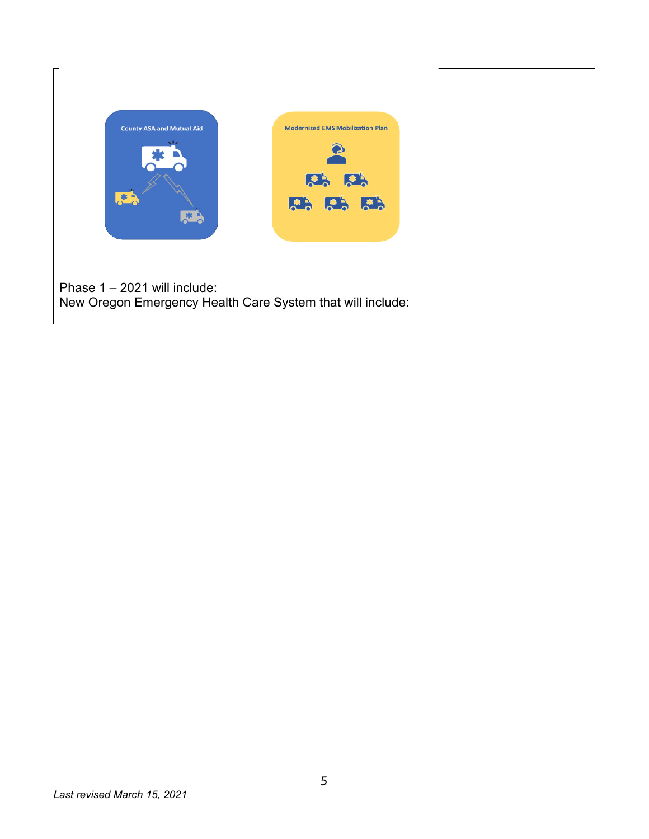

Phase 1 – 2021 will include: New Oregon Emergency Health Care System that will include: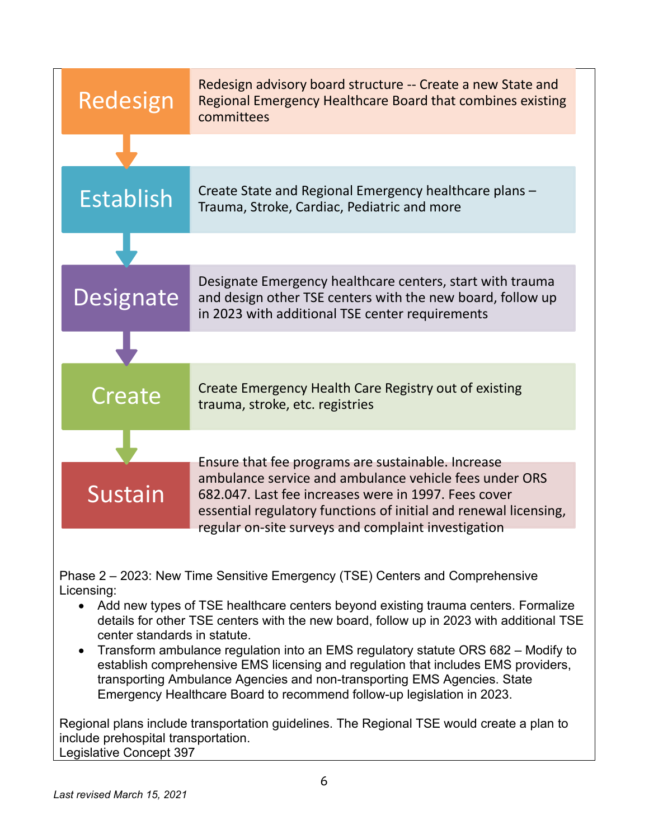| Redesign         | Redesign advisory board structure -- Create a new State and<br>Regional Emergency Healthcare Board that combines existing<br>committees                                                                                                   |
|------------------|-------------------------------------------------------------------------------------------------------------------------------------------------------------------------------------------------------------------------------------------|
|                  |                                                                                                                                                                                                                                           |
| <b>Establish</b> | Create State and Regional Emergency healthcare plans -<br>Trauma, Stroke, Cardiac, Pediatric and more                                                                                                                                     |
|                  |                                                                                                                                                                                                                                           |
| Designate        | Designate Emergency healthcare centers, start with trauma<br>and design other TSE centers with the new board, follow up<br>in 2023 with additional TSE center requirements                                                                |
|                  |                                                                                                                                                                                                                                           |
| Create           | Create Emergency Health Care Registry out of existing<br>trauma, stroke, etc. registries                                                                                                                                                  |
|                  | Ensure that fee programs are sustainable. Increase                                                                                                                                                                                        |
| Sustain          | ambulance service and ambulance vehicle fees under ORS<br>682.047. Last fee increases were in 1997. Fees cover<br>essential regulatory functions of initial and renewal licensing,<br>regular on-site surveys and complaint investigation |

Phase 2 – 2023: New Time Sensitive Emergency (TSE) Centers and Comprehensive Licensing:

- Add new types of TSE healthcare centers beyond existing trauma centers. Formalize details for other TSE centers with the new board, follow up in 2023 with additional TSE center standards in statute.
- Transform ambulance regulation into an EMS regulatory statute ORS 682 Modify to establish comprehensive EMS licensing and regulation that includes EMS providers, transporting Ambulance Agencies and non-transporting EMS Agencies. State Emergency Healthcare Board to recommend follow-up legislation in 2023.

Regional plans include transportation guidelines. The Regional TSE would create a plan to include prehospital transportation. Legislative Concept 397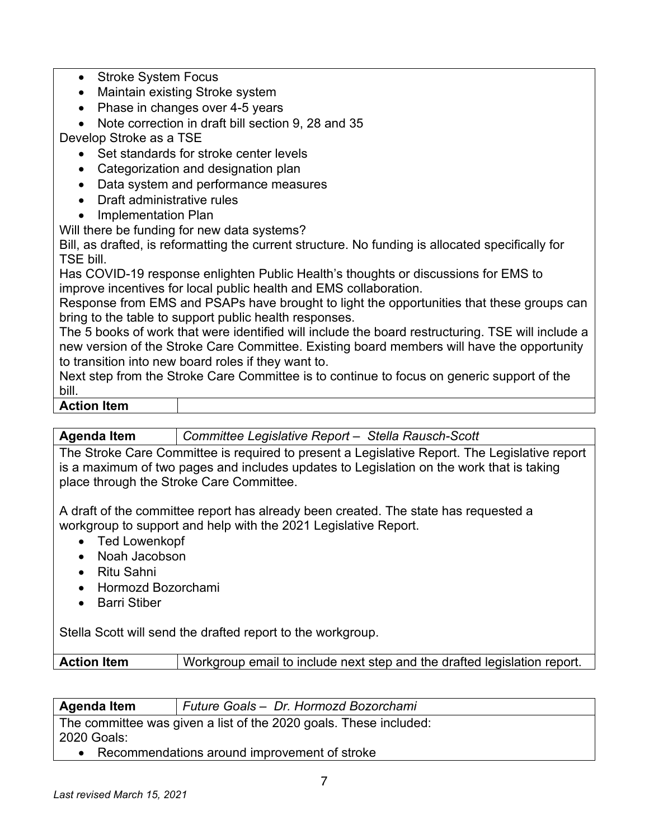- Stroke System Focus
- Maintain existing Stroke system
- Phase in changes over 4-5 years

• Note correction in draft bill section 9, 28 and 35

Develop Stroke as a TSE

- Set standards for stroke center levels
- Categorization and designation plan
- Data system and performance measures
- Draft administrative rules
- Implementation Plan

Will there be funding for new data systems?

Bill, as drafted, is reformatting the current structure. No funding is allocated specifically for TSE bill.

Has COVID-19 response enlighten Public Health's thoughts or discussions for EMS to improve incentives for local public health and EMS collaboration.

Response from EMS and PSAPs have brought to light the opportunities that these groups can bring to the table to support public health responses.

The 5 books of work that were identified will include the board restructuring. TSE will include a new version of the Stroke Care Committee. Existing board members will have the opportunity to transition into new board roles if they want to.

Next step from the Stroke Care Committee is to continue to focus on generic support of the bill.

### **Action Item**

**Agenda Item** *Committee Legislative Report – Stella Rausch-Scott* 

The Stroke Care Committee is required to present a Legislative Report. The Legislative report is a maximum of two pages and includes updates to Legislation on the work that is taking place through the Stroke Care Committee.

A draft of the committee report has already been created. The state has requested a workgroup to support and help with the 2021 Legislative Report.

- Ted Lowenkopf
- Noah Jacobson
- Ritu Sahni
- Hormozd Bozorchami
- Barri Stiber

Stella Scott will send the drafted report to the workgroup.

| <b>Action Item</b> | $\mathsf I$ Workgroup email to include next step and the drafted legislation report. |
|--------------------|--------------------------------------------------------------------------------------|
|                    |                                                                                      |

| <b>Agenda Item</b> | Future Goals - Dr. Hormozd Bozorchami |
|--------------------|---------------------------------------|

The committee was given a list of the 2020 goals. These included: 2020 Goals:

• Recommendations around improvement of stroke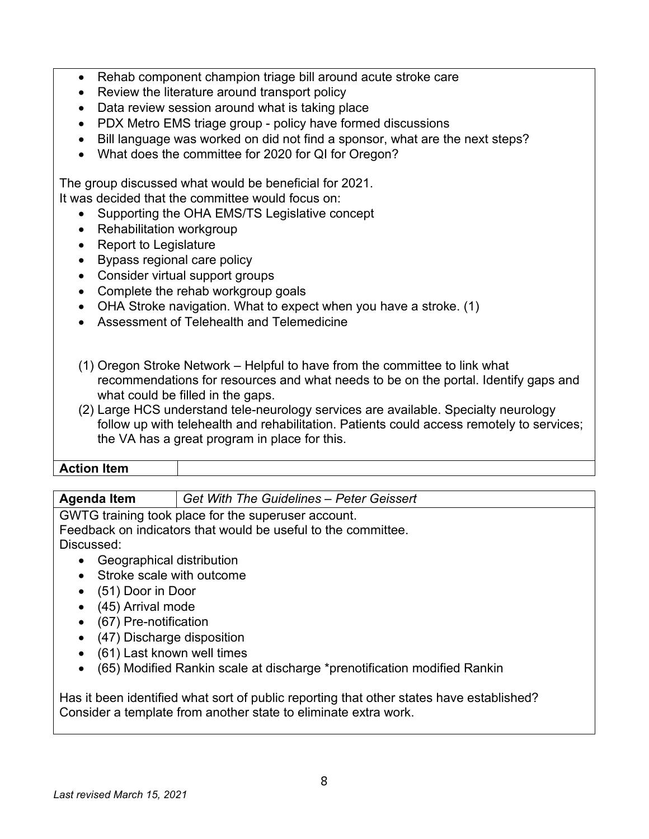- Rehab component champion triage bill around acute stroke care
- Review the literature around transport policy
- Data review session around what is taking place
- PDX Metro EMS triage group policy have formed discussions
- Bill language was worked on did not find a sponsor, what are the next steps?
- What does the committee for 2020 for QI for Oregon?

The group discussed what would be beneficial for 2021. It was decided that the committee would focus on:

- Supporting the OHA EMS/TS Legislative concept
- Rehabilitation workgroup
- Report to Legislature
- Bypass regional care policy
- Consider virtual support groups
- Complete the rehab workgroup goals
- OHA Stroke navigation. What to expect when you have a stroke. (1)
- Assessment of Telehealth and Telemedicine
- (1) Oregon Stroke Network Helpful to have from the committee to link what recommendations for resources and what needs to be on the portal. Identify gaps and what could be filled in the gaps.
- (2) Large HCS understand tele-neurology services are available. Specialty neurology follow up with telehealth and rehabilitation. Patients could access remotely to services; the VA has a great program in place for this.

#### **Action Item**

# **Agenda Item** *Get With The Guidelines – Peter Geissert*

GWTG training took place for the superuser account.

Feedback on indicators that would be useful to the committee. Discussed:

- Geographical distribution
- Stroke scale with outcome
- (51) Door in Door
- (45) Arrival mode
- (67) Pre-notification
- (47) Discharge disposition
- (61) Last known well times
- (65) Modified Rankin scale at discharge \*prenotification modified Rankin

Has it been identified what sort of public reporting that other states have established? Consider a template from another state to eliminate extra work.